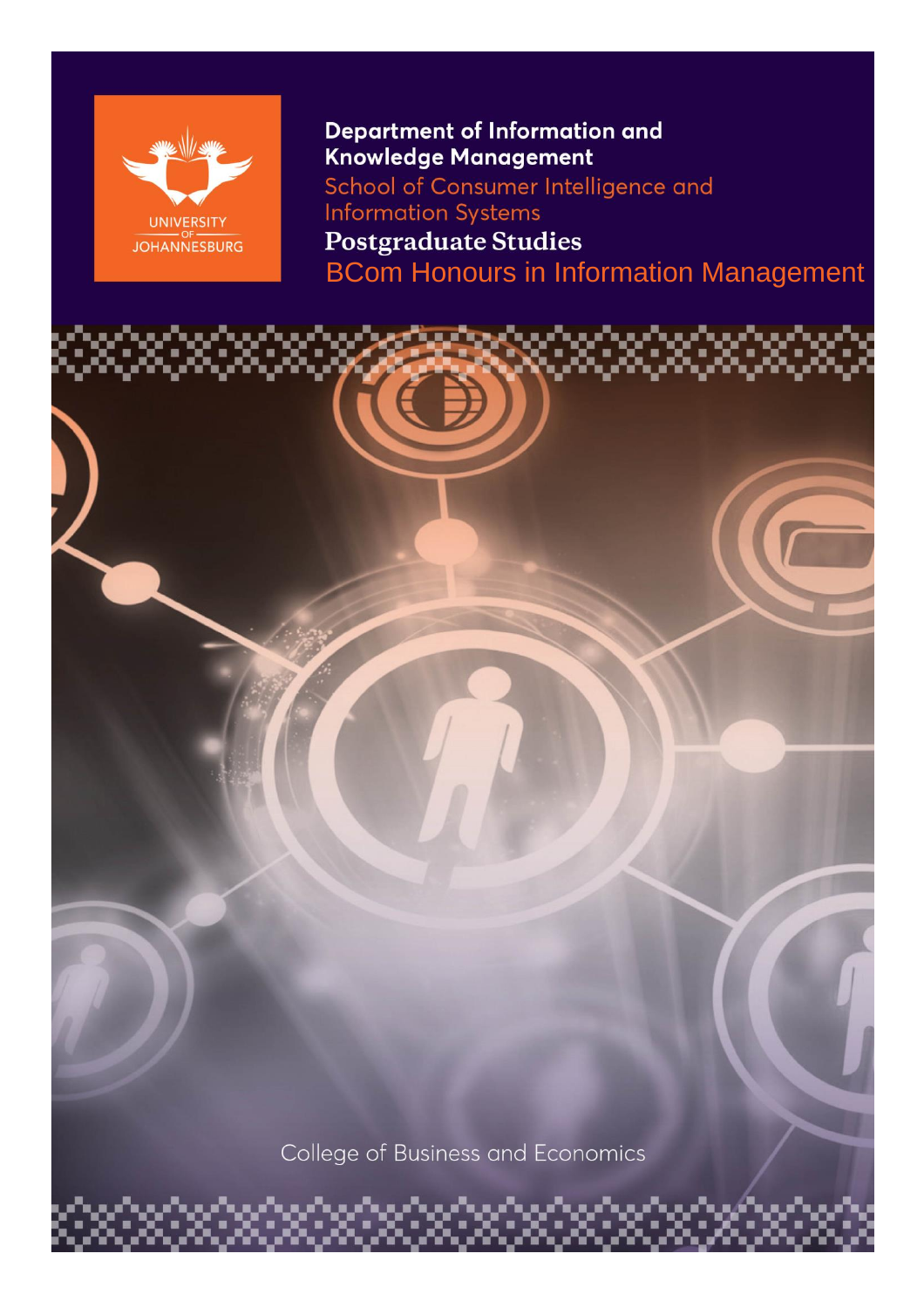

Department of Information and Knowledge Management School of Consumer Intelligence and **Information Systems Postgraduate Studies** BCom Honours in Information Management

College of Business and Economics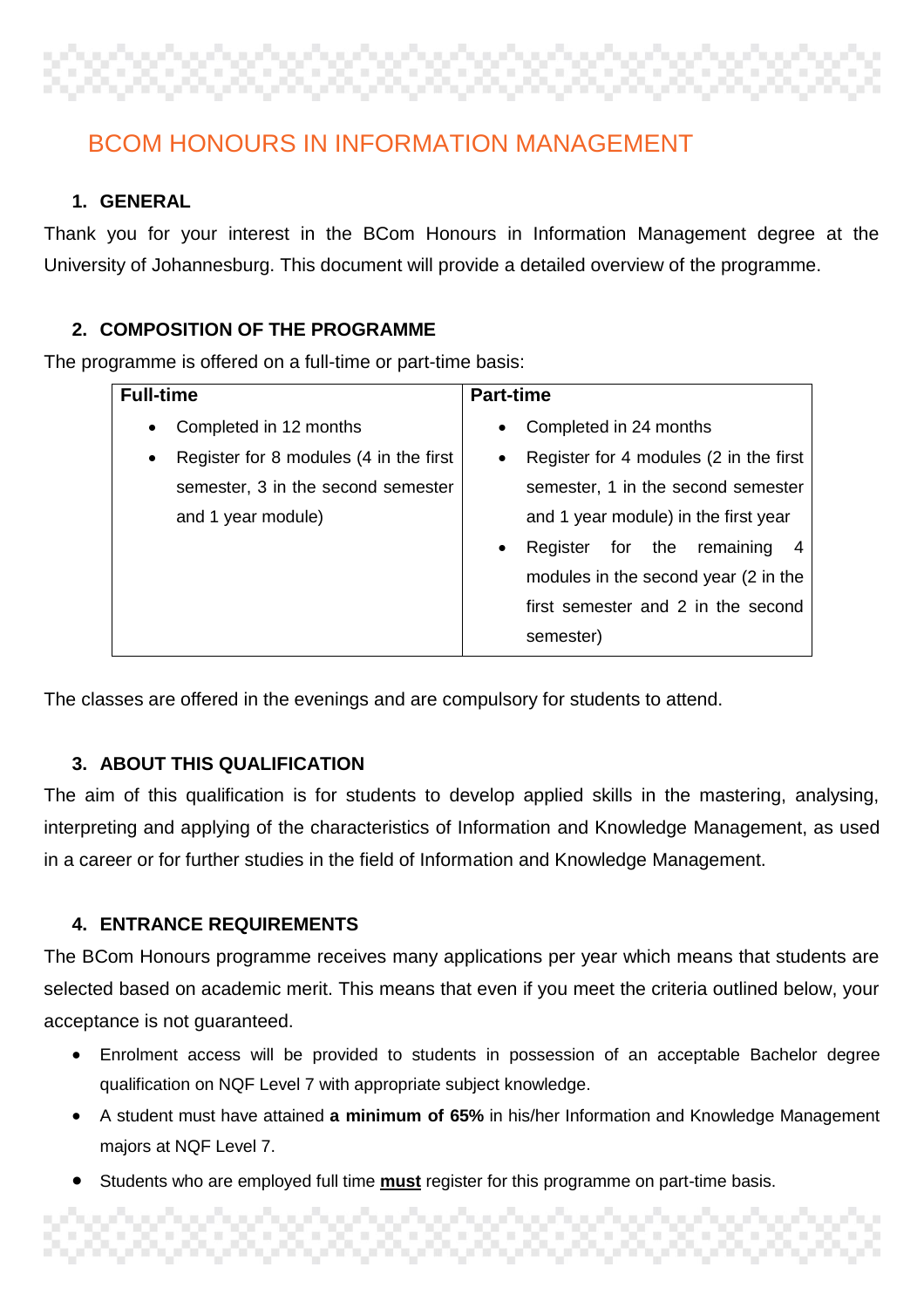# BCOM HONOURS IN INFORMATION MANAGEMENT

## **1. GENERAL**

Thank you for your interest in the BCom Honours in Information Management degree at the University of Johannesburg. This document will provide a detailed overview of the programme.

## **2. COMPOSITION OF THE PROGRAMME**

The programme is offered on a full-time or part-time basis:

| <b>Full-time</b>                                    | <b>Part-time</b>                                    |
|-----------------------------------------------------|-----------------------------------------------------|
| Completed in 12 months<br>$\bullet$                 | Completed in 24 months<br>$\bullet$                 |
| Register for 8 modules (4 in the first<br>$\bullet$ | Register for 4 modules (2 in the first<br>$\bullet$ |
| semester, 3 in the second semester                  | semester, 1 in the second semester                  |
| and 1 year module)                                  | and 1 year module) in the first year                |
|                                                     | for the<br>remaining<br>Register<br>$\bullet$<br>4  |
|                                                     | modules in the second year (2 in the                |
|                                                     | first semester and 2 in the second                  |
|                                                     | semester)                                           |

The classes are offered in the evenings and are compulsory for students to attend.

## **3. ABOUT THIS QUALIFICATION**

The aim of this qualification is for students to develop applied skills in the mastering, analysing, interpreting and applying of the characteristics of Information and Knowledge Management, as used in a career or for further studies in the field of Information and Knowledge Management.

## **4. ENTRANCE REQUIREMENTS**

The BCom Honours programme receives many applications per year which means that students are selected based on academic merit. This means that even if you meet the criteria outlined below, your acceptance is not guaranteed.

- Enrolment access will be provided to students in possession of an acceptable Bachelor degree qualification on NQF Level 7 with appropriate subject knowledge.
- A student must have attained **a minimum of 65%** in his/her Information and Knowledge Management majors at NQF Level 7.
- Students who are employed full time **must** register for this programme on part-time basis.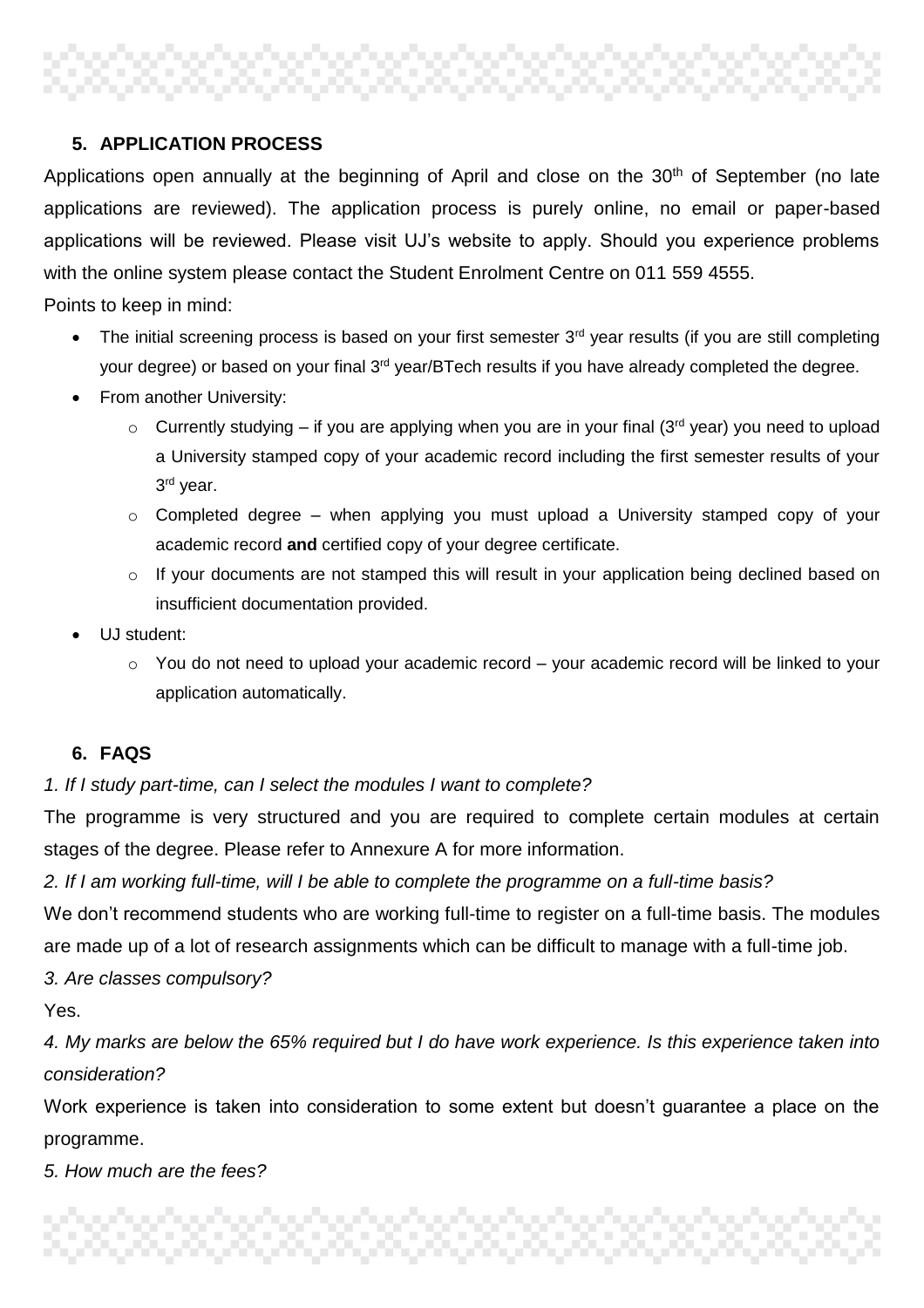# ,,,,,,,,,,,,,,,,,,,,,

## **5. APPLICATION PROCESS**

Applications open annually at the beginning of April and close on the 30<sup>th</sup> of September (no late applications are reviewed). The application process is purely online, no email or paper-based applications will be reviewed. Please visit UJ's website to apply. Should you experience problems with the online system please contact the Student Enrolment Centre on 011 559 4555.

Points to keep in mind:

- $\bullet$  The initial screening process is based on your first semester  $3<sup>rd</sup>$  year results (if you are still completing your degree) or based on your final 3<sup>rd</sup> year/BTech results if you have already completed the degree.
- From another University:
	- $\circ$  Currently studying if you are applying when you are in your final (3<sup>rd</sup> year) you need to upload a University stamped copy of your academic record including the first semester results of your 3<sup>rd</sup> year.
	- o Completed degree when applying you must upload a University stamped copy of your academic record **and** certified copy of your degree certificate.
	- $\circ$  If your documents are not stamped this will result in your application being declined based on insufficient documentation provided.
- UJ student:
	- $\circ$  You do not need to upload your academic record your academic record will be linked to your application automatically.

## **6. FAQS**

## *1. If I study part-time, can I select the modules I want to complete?*

The programme is very structured and you are required to complete certain modules at certain stages of the degree. Please refer to Annexure A for more information.

*2. If I am working full-time, will I be able to complete the programme on a full-time basis?*

We don't recommend students who are working full-time to register on a full-time basis. The modules are made up of a lot of research assignments which can be difficult to manage with a full-time job.

*3. Are classes compulsory?*

Yes.

*4. My marks are below the 65% required but I do have work experience. Is this experience taken into consideration?*

Work experience is taken into consideration to some extent but doesn't guarantee a place on the programme.

*5. How much are the fees?*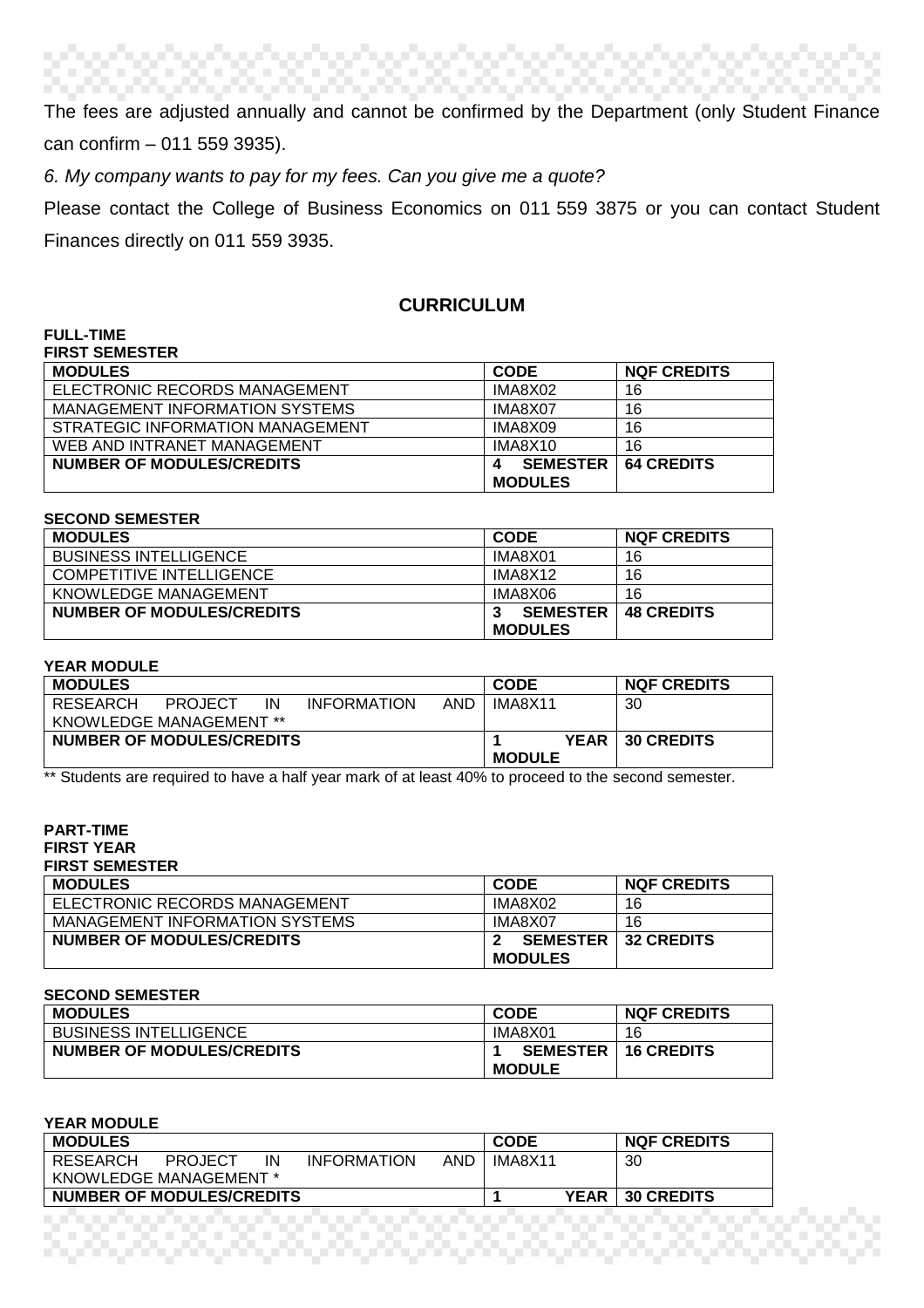The fees are adjusted annually and cannot be confirmed by the Department (only Student Finance can confirm – 011 559 3935).

*6. My company wants to pay for my fees. Can you give me a quote?*

Please contact the College of Business Economics on 011 559 3875 or you can contact Student Finances directly on 011 559 3935.

## **CURRICULUM**

| FULL-IIME                        |                 |                    |
|----------------------------------|-----------------|--------------------|
| <b>FIRST SEMESTER</b>            |                 |                    |
| <b>MODULES</b>                   | <b>CODE</b>     | <b>NQF CREDITS</b> |
| ELECTRONIC RECORDS MANAGEMENT    | IMA8X02         | 16                 |
| MANAGEMENT INFORMATION SYSTEMS   | IMA8X07         | 16                 |
| STRATEGIC INFORMATION MANAGEMENT | IMA8X09         | 16                 |
| WEB AND INTRANET MANAGEMENT      | IMA8X10         | 16                 |
| NUMBER OF MODULES/CREDITS        | <b>SEMESTER</b> | <b>64 CREDITS</b>  |
|                                  | <b>MODULES</b>  |                    |

| <b>SECOND SEMESTER</b> |  |
|------------------------|--|
|------------------------|--|

**FULL-TIME** 

| <b>MODULES</b>                  | <b>CODE</b>     | <b>NQF CREDITS</b> |
|---------------------------------|-----------------|--------------------|
| <b>BUSINESS INTELLIGENCE</b>    | IMA8X01         | 16                 |
| <b>COMPETITIVE INTELLIGENCE</b> | IMA8X12         | 16                 |
| KNOWLEDGE MANAGEMENT            | IMA8X06         | 16                 |
| NUMBER OF MODULES/CREDITS       | <b>SEMESTER</b> | <b>48 CREDITS</b>  |
|                                 | <b>MODULES</b>  |                    |

#### **YEAR MODULE**

| <b>MODULES</b>                 |                |    |                    |     | <b>CODE</b>   | <b>NQF CREDITS</b> |
|--------------------------------|----------------|----|--------------------|-----|---------------|--------------------|
| RESEARCH                       | <b>PROJECT</b> | ΙN | <b>INFORMATION</b> | AND | IMA8X11       | 30                 |
| <b>KNOWLEDGE MANAGEMENT **</b> |                |    |                    |     |               |                    |
| NUMBER OF MODULES/CREDITS      |                |    |                    |     | <b>YEAR</b>   | <b>130 CREDITS</b> |
|                                |                |    |                    |     | <b>MODULE</b> |                    |

\*\* Students are required to have a half year mark of at least 40% to proceed to the second semester.

#### **PART-TIME FIRST YEAR FIRST SEMESTER**

| <b>MODULES</b>                 | <b>CODE</b>    | <b>NQF CREDITS</b>           |
|--------------------------------|----------------|------------------------------|
| ELECTRONIC RECORDS MANAGEMENT  | IMA8X02        | 16                           |
| MANAGEMENT INFORMATION SYSTEMS | IMA8X07        | 16                           |
| NUMBER OF MODULES/CREDITS      |                | <b>SEMESTER 1 32 CREDITS</b> |
|                                | <b>MODULES</b> |                              |

#### **SECOND SEMESTER**

| <b>MODULES</b>                   | <b>CODE</b>     | <b>NQF CREDITS</b> |
|----------------------------------|-----------------|--------------------|
| <b>BUSINESS INTELLIGENCE</b>     | IMA8X01         | 16                 |
| <b>NUMBER OF MODULES/CREDITS</b> | <b>SEMESTER</b> | <b>16 CREDITS</b>  |
|                                  | <b>MODULE</b>   |                    |

| <b>YEAR MODULE</b>                                     |             |                    |
|--------------------------------------------------------|-------------|--------------------|
| <b>MODULES</b>                                         | <b>CODE</b> | <b>NQF CREDITS</b> |
| RESEARCH<br><b>INFORMATION</b><br>AND<br>ΙN<br>PROJECT | IMA8X11     | 30                 |
| KNOWLEDGE MANAGEMENT *                                 |             |                    |
| NUMBER OF MODULES/CREDITS                              | <b>YEAR</b> | <b>30 CREDITS</b>  |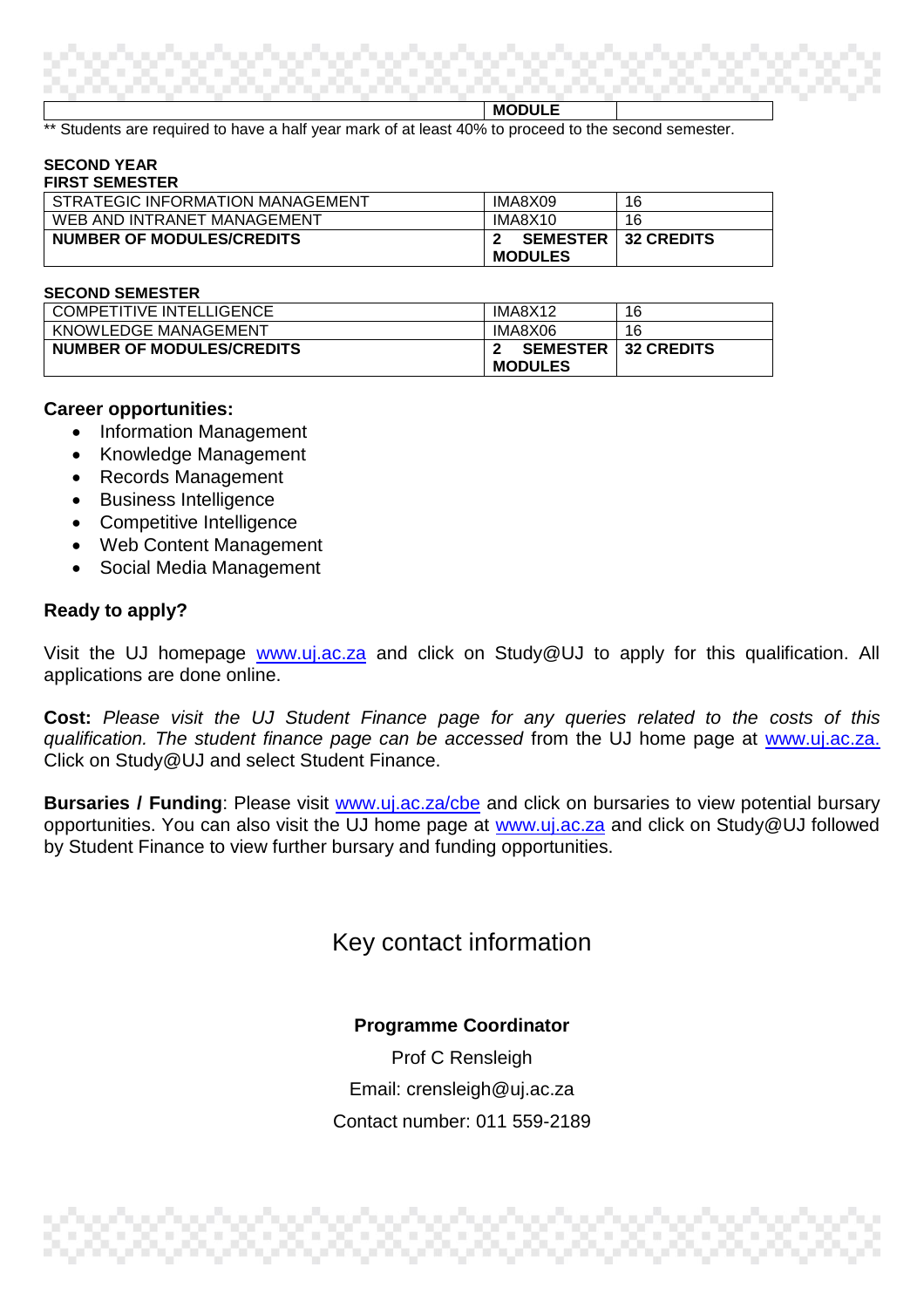**MODULE**

Students are required to have a half year mark of at least 40% to proceed to the second semester.

#### **SECOND YEAR FIRST SEMESTER**

| <b>I II\VI JLMLJILI\</b>         |                 |                   |
|----------------------------------|-----------------|-------------------|
| STRATEGIC INFORMATION MANAGEMENT | IMA8X09         | 16                |
| WEB AND INTRANET MANAGEMENT      | IMA8X10         | 16                |
| NUMBER OF MODULES/CREDITS        | <b>SEMESTER</b> | <b>32 CREDITS</b> |
|                                  | <b>MODULES</b>  |                   |

#### **SECOND SEMESTER**

| <b>COMPETITIVE INTELLIGENCE</b> | IMA8X12         | 16                |
|---------------------------------|-----------------|-------------------|
| KNOWLEDGE MANAGEMENT            | IMA8X06         | 16                |
| NUMBER OF MODULES/CREDITS       | <b>SEMESTER</b> | <b>32 CREDITS</b> |
|                                 | <b>MODULES</b>  |                   |

## **Career opportunities:**

- Information Management
- Knowledge Management
- Records Management
- Business Intelligence
- Competitive Intelligence
- Web Content Management
- Social Media Management

## **Ready to apply?**

Visit the UJ homepage [www.uj.ac.za](http://www.uj.ac.za/) and click on Study@UJ to apply for this qualification. All applications are done online.

**Cost:** *Please visit the UJ Student Finance page for any queries related to the costs of this qualification. The student finance page can be accessed* from the UJ home page at [www.uj.ac.za.](http://www.uj.ac.za/) Click on Study@UJ and select Student Finance.

**Bursaries / Funding**: Please visit **www.uj.ac.za/cbe** and click on bursaries to view potential bursary opportunities. You can also visit the UJ home page at [www.uj.ac.za](http://www.uj.ac.za/) and click on Study@UJ followed by Student Finance to view further bursary and funding opportunities.

## Key contact information

## **Programme Coordinator**

Prof C Rensleigh Email: crensleigh@uj.ac.za Contact number: 011 559-2189